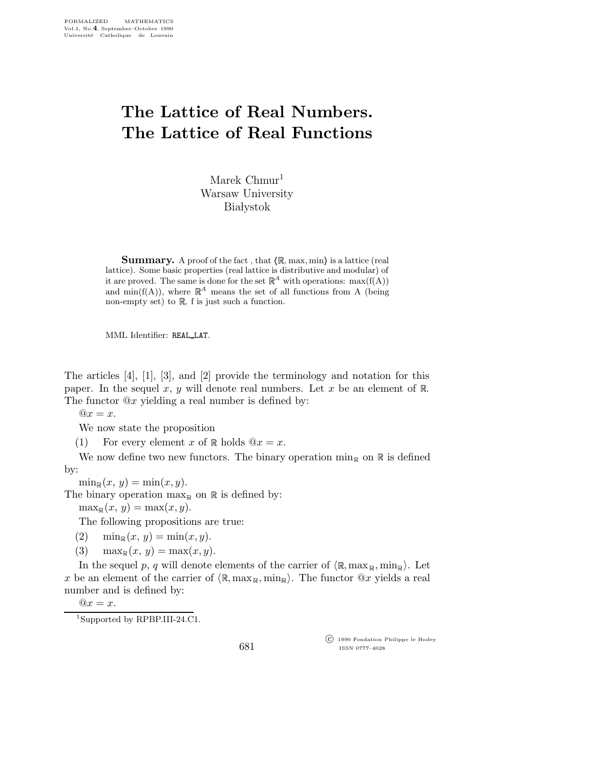## The Lattice of Real Numbers. The Lattice of Real Functions

Marek Chmur<sup>1</sup> Warsaw University **Białystok** 

**Summary.** A proof of the fact, that  $\langle \mathbb{R}, \text{max}, \text{min} \rangle$  is a lattice (real lattice). Some basic properties (real lattice is distributive and modular) of it are proved. The same is done for the set  $\mathbb{R}^A$  with operations:  $\max(f(A))$ and min( $f(A)$ ), where  $\mathbb{R}^A$  means the set of all functions from A (being non-empty set) to  $\mathbb{R}$ , f is just such a function.

MML Identifier: REAL LAT.

The articles [4], [1], [3], and [2] provide the terminology and notation for this paper. In the sequel x, y will denote real numbers. Let x be an element of  $\mathbb{R}$ . The functor  $@x$  yielding a real number is defined by:

 $@x = x$ .

We now state the proposition

(1) For every element x of  $\mathbb R$  holds  $@x = x$ .

We now define two new functors. The binary operation  $\min_{\mathbb{R}}$  on  $\mathbb{R}$  is defined by:

 $\min_{\mathbb{R}}(x, y) = \min(x, y).$ 

The binary operation  $\max_{\mathbb{R}}$  on  $\mathbb{R}$  is defined by:

 $\max_{\mathbb{R}} (x, y) = \max(x, y).$ 

The following propositions are true:

- (2)  $\min_{\mathbb{R}} (x, y) = \min(x, y).$
- (3)  $\max_{\mathbb{R}} (x, y) = \max(x, y).$

In the sequel p, q will denote elements of the carrier of  $\langle \mathbb{R}, \max_{\mathbb{R}} , \min_{\mathbb{R}} \rangle$ . Let x be an element of the carrier of  $\langle \mathbb{R}, \max_{\mathbb{R}} , \min_{\mathbb{R}} \rangle$ . The functor  $\mathbb{Q}_x$  yields a real number and is defined by:

 $@x = x.$ 

681

 c 1990 Fondation Philippe le Hodey ISSN 0777–4028

<sup>1</sup>Supported by RPBP.III-24.C1.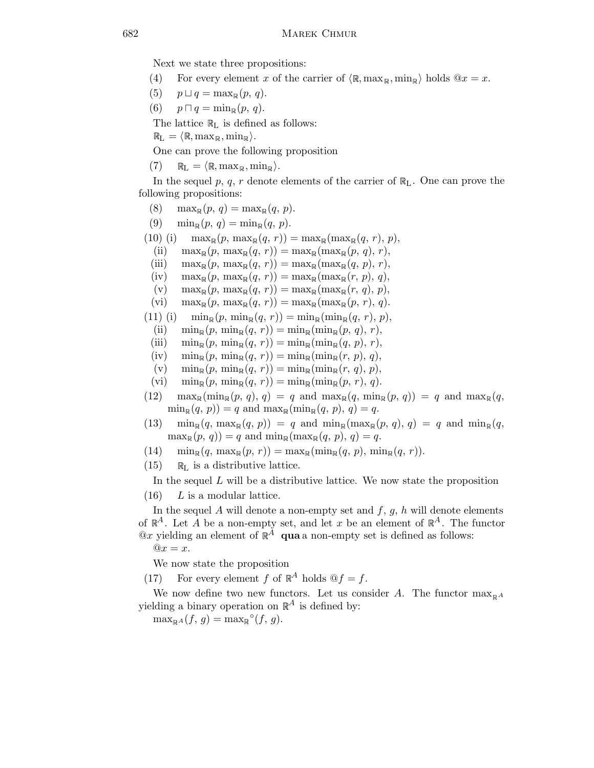Next we state three propositions:

- (4) For every element x of the carrier of  $\langle \mathbb{R}, \max_{\mathbb{R}} , \min_{\mathbb{R}} \rangle$  holds  $\mathbb{Q}x = x$ .
- (5)  $p \sqcup q = \max_{\mathbb{R}} (p, q).$
- (6)  $p \sqcap q = \min_{\mathbb{R}} (p, q)$ .

The lattice  $\mathbb{R}_L$  is defined as follows:

 $\mathbb{R}_L = \langle \mathbb{R}, \max_{\mathbb{R}}, \min_{\mathbb{R}} \rangle.$ 

One can prove the following proposition

 $(7)$   $\mathbb{R}_{\text{L}} = \langle \mathbb{R}, \max_{\mathbb{R}}, \min_{\mathbb{R}} \rangle.$ 

In the sequel p, q, r denote elements of the carrier of  $\mathbb{R}_L$ . One can prove the following propositions:

- (8)  $\max_{\mathbb{R}} (p, q) = \max_{\mathbb{R}} (q, p).$
- (9)  $\min_{\mathbb{R}} (p, q) = \min_{\mathbb{R}} (q, p).$
- (10) (i)  $\max_{\mathbb{R}} (p, \max_{\mathbb{R}} (q, r)) = \max_{\mathbb{R}} (\max_{\mathbb{R}} (q, r), p),$ 
	- (ii)  $\max_{\mathbb{R}} (p, \max_{\mathbb{R}} (q, r)) = \max_{\mathbb{R}} (\max_{\mathbb{R}} (p, q), r),$
	- (iii)  $\max_{\mathbb{R}} (p, \max_{\mathbb{R}} (q, r)) = \max_{\mathbb{R}} (\max_{\mathbb{R}} (q, p), r),$
	- (iv)  $\max_{\mathbb{R}} (p, \max_{\mathbb{R}} (q, r)) = \max_{\mathbb{R}} (\max_{\mathbb{R}} (r, p), q),$
	- (v)  $\max_{\mathbb{R}} (p, \max_{\mathbb{R}} (q, r)) = \max_{\mathbb{R}} (\max_{\mathbb{R}} (r, q), p),$
	- (vi)  $\max_{\mathbb{R}} (p, \max_{\mathbb{R}} (q, r)) = \max_{\mathbb{R}} (\max_{\mathbb{R}} (p, r), q).$
- (11) (i)  $\min_{\mathbb{R}} (p, \, \min_{\mathbb{R}} (q, r)) = \min_{\mathbb{R}} (\min_{\mathbb{R}} (q, r), p),$ 
	- (ii)  $\min_{\mathbb{R}} (p, \min_{\mathbb{R}} (q, r)) = \min_{\mathbb{R}} (\min_{\mathbb{R}} (p, q), r),$
	- (iii)  $\min_{\mathbb{R}} (p, \min_{\mathbb{R}} (q, r)) = \min_{\mathbb{R}} (\min_{\mathbb{R}} (q, p), r),$
	- (iv)  $\min_{\mathbb{R}} (p, \min_{\mathbb{R}} (q, r)) = \min_{\mathbb{R}} (\min_{\mathbb{R}} (r, p), q),$
	- (v)  $\min_{\mathbb{R}} (p, \min_{\mathbb{R}} (q, r)) = \min_{\mathbb{R}} (\min_{\mathbb{R}} (r, q), p),$
	- (vi)  $\min_{\mathbb{R}} (p, \min_{\mathbb{R}} (q, r)) = \min_{\mathbb{R}} (\min_{\mathbb{R}} (p, r), q).$
- $(12)$  max<sub>R</sub>(min<sub>R</sub>(p, q), q) = q and max<sub>R</sub>(q, min<sub>R</sub>(p, q)) = q and max<sub>R</sub>(q,  $\min_{\mathbb{R}} (q, p) = q$  and  $\max_{\mathbb{R}} (\min_{\mathbb{R}} (q, p), q) = q$ .
- $(13)$  min<sub>R</sub> $(q, \max_{\mathbb{R}}(q, p)) = q$  and min<sub>R</sub> $(\max_{\mathbb{R}}(p, q), q) = q$  and min<sub>R</sub> $(q, q)$  $\max_{\mathbb{R}} (p, q)$  = q and  $\min_{\mathbb{R}} (\max_{\mathbb{R}} (q, p), q) = q$ .
- $(14)$  min<sub>R</sub> $(q, \, \max_{\mathbb{R}} (p, r)) = \max_{\mathbb{R}} (\min_{\mathbb{R}} (q, p), \, \min_{\mathbb{R}} (q, r)).$
- $(15)$  R<sub>L</sub> is a distributive lattice.

In the sequel  $L$  will be a distributive lattice. We now state the proposition

 $(16)$  L is a modular lattice.

In the sequel A will denote a non-empty set and  $f, g, h$  will denote elements of  $\mathbb{R}^A$ . Let A be a non-empty set, and let x be an element of  $\mathbb{R}^A$ . The functor  $@x$  yielding an element of  $\mathbb{R}^A$  qua a non-empty set is defined as follows:

 $@x = x$ .

We now state the proposition

(17) For every element f of  $\mathbb{R}^A$  holds  $\mathbb{Q}f = f$ .

We now define two new functors. Let us consider A. The functor  $\max_{\mathbb{R}^A}$ yielding a binary operation on  $\mathbb{R}^A$  is defined by:

 $\max_{\mathbb{R}^A}(f, g) = \max_{\mathbb{R}^{\circ}}(f, g).$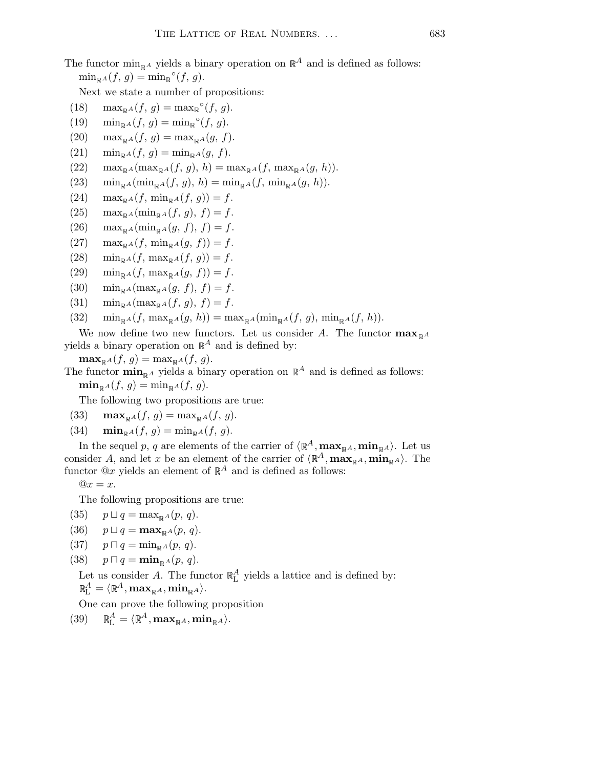## The functor  $\min_{\mathbf{p}} A$  yields a binary operation on  $\mathbb{R}^A$  and is defined as follows:  $\min_{\mathbb{R}^A}(f, g) = \min_{\mathbb{R}}^{\circ}(f, g).$

Next we state a number of propositions:

- (18)  $\max_{\mathbb{R}^A}(f, g) = \max_{\mathbb{R}^\circ}(f, g).$
- (19)  $\min_{\mathbb{R}^A}(f, g) = \min_{\mathbb{R}^\circ}(f, g).$
- $(20)$  max<sub> $\mathbb{R}^A(f, g) = \max_{\mathbb{R}^A}(g, f).$ </sub>
- (21)  $\min_{\mathbb{R}^A} (f, g) = \min_{\mathbb{R}^A} (g, f).$
- $(22)$  max<sub>RA</sub>(max<sub>RA</sub>(f, g), h) = max<sub>RA</sub>(f, max<sub>RA</sub>(g, h)).
- (23)  $\min_{\mathbb{R}^A} (\min_{\mathbb{R}^A} (f, g), h) = \min_{\mathbb{R}^A} (f, \min_{\mathbb{R}^A} (g, h)).$
- $(24)$  max<sub>RA</sub> $(f, \min_{\mathbb{R}^A} (f, g)) = f.$
- $(25)$  max<sub>RA</sub>(min<sub>RA</sub> $(f, g)$ ,  $f$ ) = f.
- $(26)$  max<sub>RA</sub>(min<sub>RA</sub>(g, f), f) = f.
- $(27)$  max $_{\mathbb{R}^A}(f, \min_{\mathbb{R}^A}(g, f)) = f.$
- (28)  $\min_{p \in A} (f, \max_{p \in A} (f, q)) = f.$
- (29)  $\min_{\mathbb{R}^A} (f, \max_{\mathbb{R}^A} (g, f)) = f.$
- (30)  $\min_{\mathbb{R}^A} (\max_{\mathbb{R}^A} (g, f), f) = f.$
- (31)  $\min_{\mathbb{R}^A} (\max_{\mathbb{R}^A} (f, g), f) = f.$
- (32)  $\min_{\mathbb{R}^A} (f, \max_{\mathbb{R}^A} (q, h)) = \max_{\mathbb{R}^A} (\min_{\mathbb{R}^A} (f, q), \min_{\mathbb{R}^A} (f, h)).$
- We now define two new functors. Let us consider A. The functor  $\max_{\mathbb{R}^A}$ yields a binary operation on  $\mathbb{R}^A$  and is defined by:
	- $\max_{\mathbb{R}^A} (f, g) = \max_{\mathbb{R}^A} (f, g).$

The functor  $\min_{\mathbb{R}^A}$  yields a binary operation on  $\mathbb{R}^A$  and is defined as follows:

 $\min_{\mathbb{R}^A}(f, g) = \min_{\mathbb{R}^A}(f, g).$ 

The following two propositions are true:

- (33)  $\max_{\mathbb{R}^A}(f, g) = \max_{\mathbb{R}^A}(f, g).$
- (34)  $\min_{\mathbb{R}^A} (f, g) = \min_{\mathbb{R}^A} (f, g)$ .

In the sequel p, q are elements of the carrier of  $\langle \mathbb{R}^A, \max_{\mathbb{R}^A} \infty, \min_{\mathbb{R}^A} \rangle$ . Let us consider A, and let x be an element of the carrier of  $\langle \mathbb{R}^A, \max_{\mathbb{R}^A} \infty, \min_{\mathbb{R}^A} \rangle$ . The functor  $@x$  yields an element of  $\mathbb{R}^A$  and is defined as follows:

 $@x = x$ .

The following propositions are true:

- (35)  $p \sqcup q = \max_{\mathbb{R}^A}(p, q).$
- (36)  $p \sqcup q = \max_{p \mid A}(p, q).$
- (37)  $p \Box q = \min_{p \in A} (p, q).$
- (38)  $p \sqcap q = \min_{\mathbb{R}^A}(p, q)$ .

Let us consider A. The functor  $\mathbb{R}^A_L$  yields a lattice and is defined by:

 $\mathbb{R}^A_\mathbb{L} = \langle \mathbb{R}^A, \mathbf{max}_{\mathbb{R}^A}, \mathbf{min}_{\mathbb{R}^A} \rangle.$ 

One can prove the following proposition

 $(39)$  $\mathbb{R}^A_{\mathrm{L}} = \langle \mathbb{R}^A, \mathbf{max}_{\mathbb{R}^A}, \mathbf{min}_{\mathbb{R}^A} \rangle.$